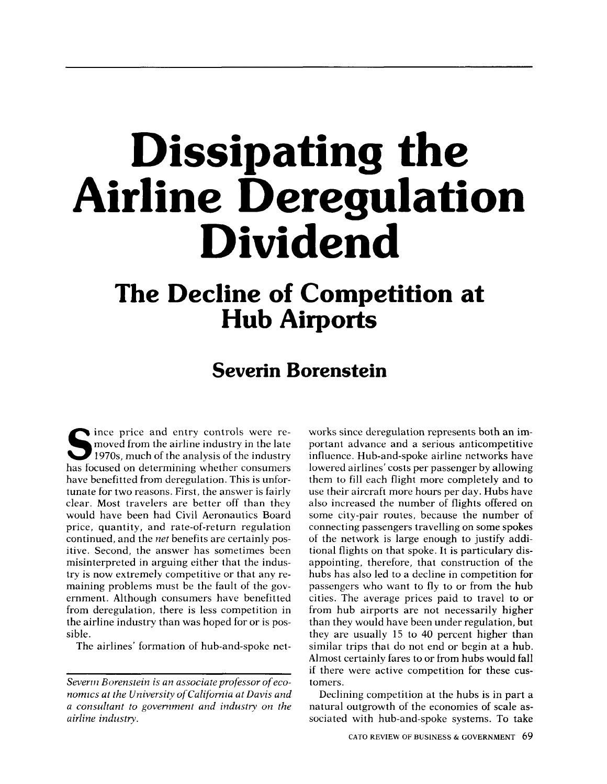# Dissipating the Airline Deregulation Dividend

## The Decline of Competition at Hub Airports

### Severin Borenstein

Since it is an order to the analysis of the industry in price and entry controls were removed from the airline industry in the late has focused on determining whether consumers have benefitted from deregulation. This is unfortunate for two reasons. First, the answer is fairly clear. Most travelers are better off than they would have been had Civil Aeronautics Board price, quantity, and rate-of-return regulation continued, and the net benefits are certainly positive. Second, the answer has sometimes been misinterpreted in arguing either that the industry is now extremely competitive or that any remaining problems must be the fault of the government. Although consumers have benefitted from deregulation, there is less competition in the airline industry than was hoped for or is possible.

The airlines' formation of hub-and-spoke net-

works since deregulation represents both an important advance and a serious anticompetitive influence. Hub-and-spoke airline networks have lowered airlines' costs per passenger by allowing them to fill each flight more completely and to use their aircraft more hours per day. Hubs have also increased the number of flights offered on some city-pair routes, because the number of connecting passengers travelling on some spokes of the network is large enough to justify additional flights on that spoke. It is particulary disappointing, therefore, that construction of the hubs has also led to a decline in competition for passengers who want to fly to or from the hub cities. The average prices paid to travel to or from hub airports are not necessarily higher than they would have been under regulation, but they are usually 15 to 40 percent higher than similar trips that do not end or begin at a hub. Almost certainly fares to or from hubs would fall if there were active competition for these customers.

Declining competition at the hubs is in part a natural outgrowth of the economies of scale associated with hub-and-spoke systems. To take

Severm Borenstein is an associate professor of economics at the University of California at Davis and a consultant to government and industry on the airline industry.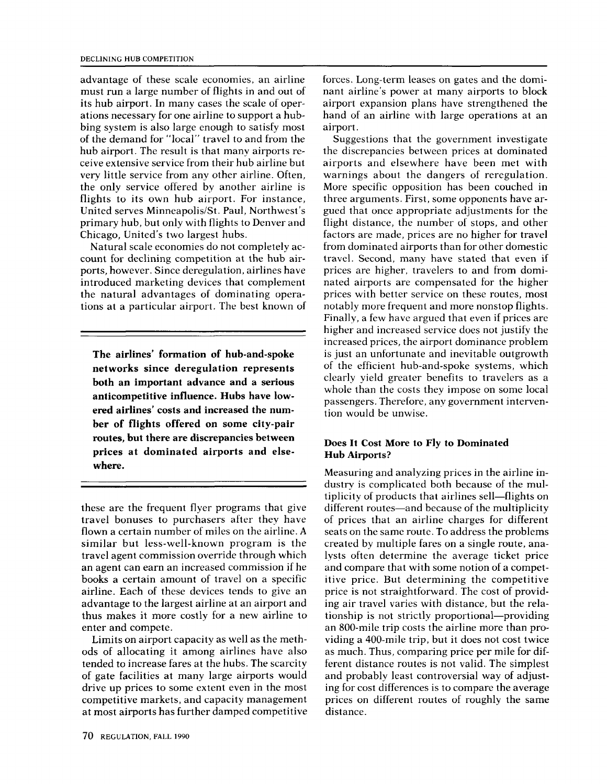advantage of these scale economies, an airline must run a large number of flights in and out of its hub airport. In many cases the scale of operations necessary for one airline to support a hubbing system is also large enough to satisfy most of the demand for "local" travel to and from the hub airport. The result is that many airports receive extensive service from their hub airline but very little service from any other airline. Often, the only service offered by another airline is flights to its own hub airport. For instance, United serves Minneapolis/St. Paul, Northwest's primary hub, but only with flights to Denver and Chicago, United's two largest hubs.

Natural scale economies do not completely account for declining competition at the hub airports, however. Since deregulation, airlines have introduced marketing devices that complement the natural advantages of dominating operations at a particular airport. The best known of

The airlines' formation of hub-and-spoke networks since deregulation represents both an important advance and a serious anticompetitive influence. Hubs have lowered airlines' costs and increased the number of flights offered on some city-pair routes, but there are discrepancies between prices at dominated airports and elsewhere.

these are the frequent flyer programs that give travel bonuses to purchasers after they have flown a certain number of miles on the airline. <sup>A</sup> similar but less-well-known program is the travel agent commission override through which an agent can earn an increased commission if he books a certain amount of travel on a specific airline. Each of these devices tends to give an advantage to the largest airline at an airport and thus makes it more costly for a new airline to enter and compete.

Limits on airport capacity as well as the methods of allocating it among airlines have also tended to increase fares at the hubs. The scarcity of gate facilities at many large airports would drive up prices to some extent even in the most competitive markets, and capacity management at most airports has further damped competitive forces. Long-term leases on gates and the dominant airline's power at many airports to block airport expansion plans have strengthened the hand of an airline with large operations at an airport.

Suggestions that the government investigate the discrepancies between prices at dominated airports and elsewhere have been met with warnings about the dangers of reregulation. More specific opposition has been couched in three arguments. First, some opponents have argued that once appropriate adjustments for the flight distance, the number of stops, and other factors are made, prices are no higher for travel from dominated airports than for other domestic travel. Second, many have stated that even if prices are higher, travelers to and from dominated airports are compensated for the higher prices with better service on these routes, most notably more frequent and more nonstop flights. Finally, a few have argued that even if prices are higher and increased service does not justify the increased prices, the airport dominance problem is just an unfortunate and inevitable outgrowth of the efficient hub-and-spoke systems, which clearly yield greater benefits to travelers as a whole than the costs they impose on some local passengers. Therefore, any government intervention would be unwise.

#### Does It Cost More to Fly to Dominated Hub Airports?

Measuring and analyzing prices in the airline industry is complicated both because of the multiplicity of products that airlines sell—flights on different routes—and because of the multiplicity of prices that an airline charges for different seats on the same route. To address the problems created by multiple fares on a single route, analysts often determine the average ticket price and compare that with some notion of a competitive price. But determining the competitive price is not straightforward. The cost of providing air travel varies with distance, but the relationship is not strictly proportional—providing an 800-mile trip costs the airline more than providing a 400-mile trip, but it does not cost twice as much. Thus, comparing price per mile for different distance routes is not valid. The simplest and probably least controversial way of adjusting for cost differences is to compare the average prices on different routes of roughly the same distance.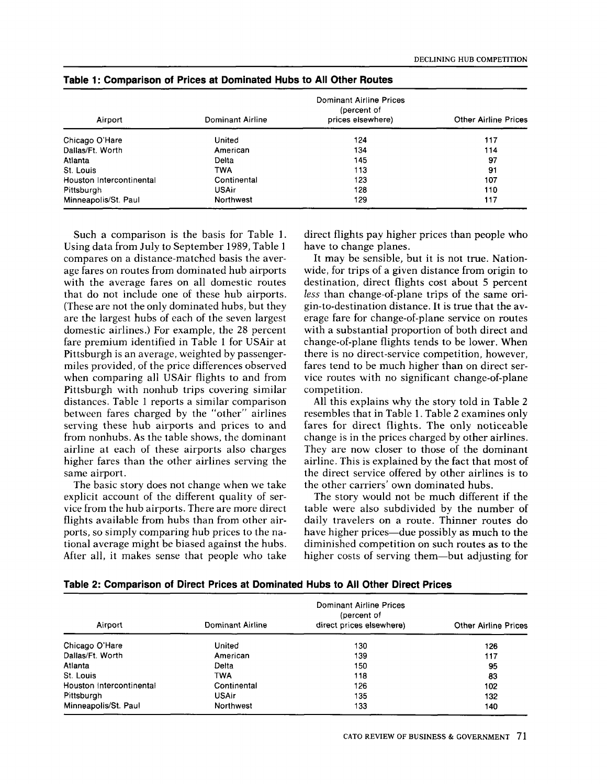| Airport                  | Dominant Airline | <b>Other Airline Prices</b> |     |
|--------------------------|------------------|-----------------------------|-----|
| Chicago O'Hare           | United           | 124                         | 117 |
| Dallas/Ft. Worth         | American         | 134                         | 114 |
| Atlanta                  | Deita            | 145                         | 97  |
| St. Louis                | TWA              | 113                         | 91  |
| Houston Intercontinental | Continental      | 123                         | 107 |
| Pittsburgh               | <b>USAir</b>     | 128                         | 110 |
| Minneapolis/St. Paul     | Northwest        | 129                         | 117 |

#### Table 1: Comparison of Prices at Dominated Hubs to All Other Routes

Such a comparison is the basis for Table 1. Using data from July to September 1989, Table 1 compares on a distance-matched basis the average fares on routes from dominated hub airports with the average fares on all domestic routes that do not include one of these hub airports. (These are not the only dominated hubs, but they are the largest hubs of each of the seven largest domestic airlines.) For example, the 28 percent fare premium identified in Table 1 for USAir at Pittsburgh is an average, weighted by passengermiles provided, of the price differences observed when comparing all USAir flights to and from Pittsburgh with nonhub trips covering similar distances. Table 1 reports a similar comparison between fares charged by the "other" airlines serving these hub airports and prices to and from nonhubs. As the table shows, the dominant airline at each of these airports also charges higher fares than the other airlines serving the same airport.

The basic story does not change when we take explicit account of the different quality of service from the hub airports. There are more direct flights available from hubs than from other airports, so simply comparing hub prices to the national average might be biased against the hubs. After all, it makes sense that people who take direct flights pay higher prices than people who have to change planes.

It may be sensible, but it is not true. Nationwide, for trips of a given distance from origin to destination, direct flights cost about 5 percent less than change-of-plane trips of the same origin-to-destination distance. It is true that the average fare for change-of-plane service on routes with a substantial proportion of both direct and change-of-plane flights tends to be lower. When there is no direct-service competition, however, fares tend to be much higher than on direct service routes with no significant change-of-plane competition.

All this explains why the story told in Table 2 resembles that in Table 1. Table 2 examines only fares for direct flights. The only noticeable change is in the prices charged by other airlines. They are now closer to those of the dominant airline. This is explained by the fact that most of the direct service offered by other airlines is to the other carriers' own dominated hubs.

The story would not be much different if the table were also subdivided by the number of daily travelers on a route. Thinner routes do have higher prices—due possibly as much to the diminished competition on such routes as to the higher costs of serving them—but adjusting for

|  |  |  | Table 2: Comparison of Direct Prices at Dominated Hubs to All Other Direct Prices |  |
|--|--|--|-----------------------------------------------------------------------------------|--|
|  |  |  |                                                                                   |  |

| Airport                  | Dominant Airline | <b>Other Airline Prices</b> |     |
|--------------------------|------------------|-----------------------------|-----|
| Chicago O'Hare           | United           | 130                         | 126 |
| Dallas/Ft. Worth         | American         | 139                         | 117 |
| Atlanta                  | Delta            | 150                         | 95  |
| St. Louis                | TWA              | 118                         | 83  |
| Houston Intercontinental | Continental      | 126                         | 102 |
| Pittsburgh               | <b>USAir</b>     | 135                         | 132 |
| Minneapolis/St. Paul     | Northwest        | 133                         | 140 |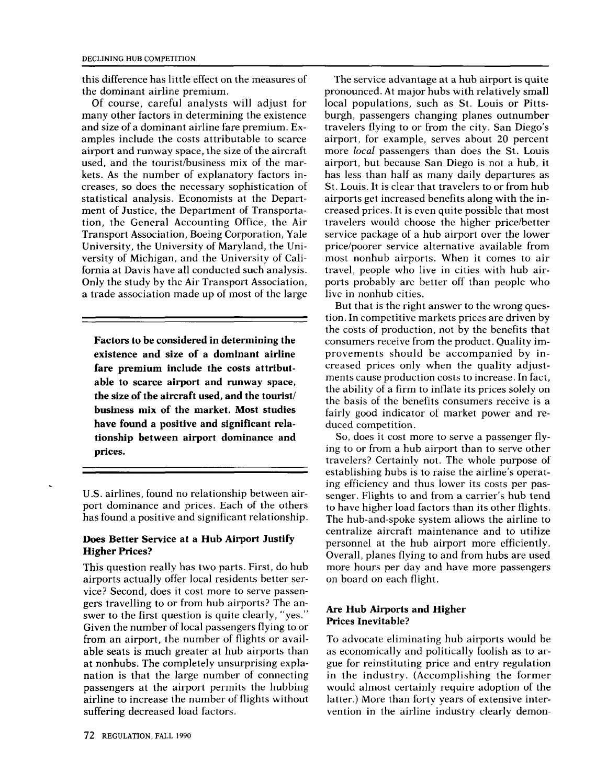this difference has little effect on the measures of the dominant airline premium.

Of course, careful analysts will adjust for many other factors in determining the existence and size of a dominant airline fare premium. Examples include the costs attributable to scarce airport and runway space, the size of the aircraft used, and the tourist/business mix of the markets. As the number of explanatory factors increases, so does the necessary sophistication of statistical analysis. Economists at the Department of Justice, the Department of Transportation, the General Accounting Office, the Air Transport Association, Boeing Corporation, Yale University, the University of Maryland, the University of Michigan, and the University of California at Davis have all conducted such analysis. Only the study by the Air Transport Association, a trade association made up of most of the large

Factors to be considered in determining the existence and size of a dominant airline fare premium include the costs attributable to scarce airport and runway space, the size of the aircraft used, and the tourist/ business mix of the market. Most studies have found a positive and significant relationship between airport dominance and prices.

U.S. airlines, found no relationship between airport dominance and prices. Each of the others has found a positive and significant relationship.

#### Does Better Service at a Hub Airport Justify Higher Prices?

This question really has two parts. First, do hub airports actually offer local residents better service? Second, does it cost more to serve passengers travelling to or from hub airports? The answer to the first question is quite clearly, "yes." Given the number of local passengers flying to or from an airport, the number of flights or available seats is much greater at hub airports than at nonhubs. The completely unsurprising explanation is that the large number of connecting passengers at the airport permits the hubbing airline to increase the number of flights without suffering decreased load factors.

The service advantage at a hub airport is quite pronounced. At major hubs with relatively small local populations, such as St. Louis or Pittsburgh, passengers changing planes outnumber travelers flying to or from the city. San Diego's airport, for example, serves about 20 percent more local passengers than does the St. Louis airport, but because San Diego is not a hub, it has less than half as many daily departures as St. Louis. It is clear that travelers to or from hub airports get increased benefits along with the increased prices. It is even quite possible that most travelers would choose the higher price/better service package of a hub airport over the lower price/poorer service alternative available from most nonhub airports. When it comes to air travel, people who live in cities with hub airports probably are better off than people who live in nonhub cities.

But that is the right answer to the wrong question. In competitive markets prices are driven by the costs of production, not by the benefits that consumers receive from the product. Quality improvements should be accompanied by increased prices only when the quality adjustments cause production costs to increase. In fact, the ability of a firm to inflate its prices solely on the basis of the benefits consumers receive is a fairly good indicator of market power and reduced competition.

So, does it cost more to serve a passenger flying to or from a hub airport than to serve other travelers? Certainly not. The whole purpose of establishing hubs is to raise the airline's operating efficiency and thus lower its costs per passenger. Flights to and from a carrier's hub tend to have higher load factors than its other flights. The hub-and-spoke system allows the airline to centralize aircraft maintenance and to utilize personnel at the hub airport more efficiently. Overall, planes flying to and from hubs are used more hours per day and have more passengers on board on each flight.

#### Are Hub Airports and Higher Prices Inevitable?

To advocate eliminating hub airports would be as economically and politically foolish as to argue for reinstituting price and entry regulation in the industry. (Accomplishing the former would almost certainly require adoption of the latter.) More than forty years of extensive intervention in the airline industry clearly demon-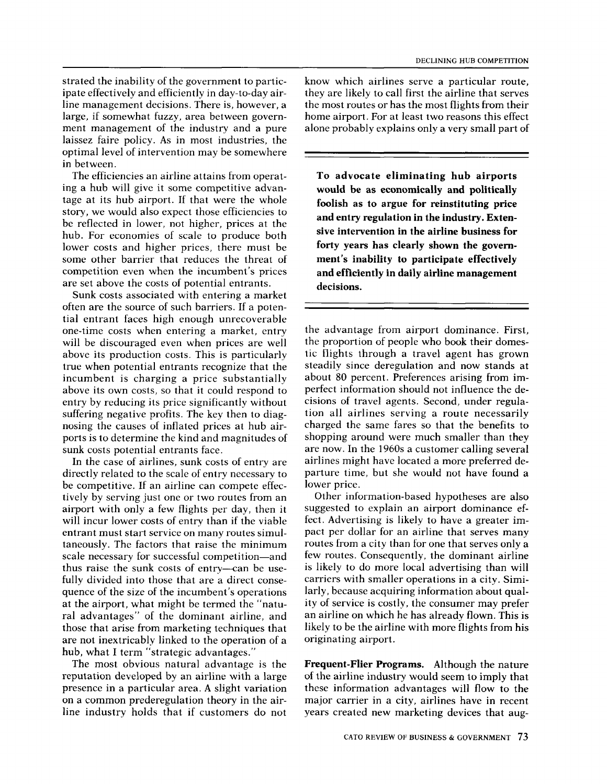strated the inability of the government to participate effectively and efficiently in day-to-day airline management decisions. There is, however, a large, if somewhat fuzzy, area between government management of the industry and a pure laissez faire policy. As in most industries, the optimal level of intervention may be somewhere in between.

The efficiencies an airline attains from operating a hub will give it some competitive advantage at its hub airport. If that were the whole story, we would also expect those efficiencies to be reflected in lower, not higher, prices at the hub. For economies of scale to produce both lower costs and higher prices, there must be some other barrier that reduces the threat of competition even when the incumbent's prices are set above the costs of potential entrants.

Sunk costs associated with entering a market often are the source of such barriers. If a potential entrant faces high enough unrecoverable one-time costs when entering a market, entry will be discouraged even when prices are well above its production costs. This is particularly true when potential entrants recognize that the incumbent is charging a price substantially above its own costs, so that it could respond to entry by reducing its price significantly without suffering negative profits. The key then to diagnosing the causes of inflated prices at hub airports is to determine the kind and magnitudes of sunk costs potential entrants face.

In the case of airlines, sunk costs of entry are directly related to the scale of entry necessary to be competitive. If an airline can compete effectively by serving just one or two routes from an airport with only a few flights per day, then it will incur lower costs of entry than if the viable entrant must start service on many routes simultaneously. The factors that raise the minimum scale necessary for successful competition—and thus raise the sunk costs of entry-can be usefully divided into those that are a direct consequence of the size of the incumbent's operations at the airport, what might be termed the "natural advantages" of the dominant airline, and those that arise from marketing techniques that are not inextricably linked to the operation of a hub, what I term "strategic advantages."

The most obvious natural advantage is the reputation developed by an airline with a large presence in a particular area. A slight variation on a common prederegulation theory in the airline industry holds that if customers do not

know which airlines serve a particular route, they are likely to call first the airline that serves the most routes or has the most flights from their home airport. For at least two reasons this effect alone probably explains only a very small part of

To advocate eliminating hub airports would be as economically and politically foolish as to argue for reinstituting price and entry regulation in the industry. Extensive intervention in the airline business for forty years has clearly shown the government's inability to participate effectively and efficiently in daily airline management decisions.

the advantage from airport dominance. First, the proportion of people who book their domestic flights through a travel agent has grown steadily since deregulation and now stands at about 80 percent. Preferences arising from imperfect information should not influence the decisions of travel agents. Second, under regulation all airlines serving a route necessarily charged the same fares so that the benefits to shopping around were much smaller than they are now. In the 1960s a customer calling several airlines might have located a more preferred departure time, but she would not have found a lower price.

Other information-based hypotheses are also suggested to explain an airport dominance effect. Advertising is likely to have a greater impact per dollar for an airline that serves many routes from a city than for one that serves only a few routes. Consequently, the dominant airline is likely to do more local advertising than will carriers with smaller operations in a city. Similarly, because acquiring information about quality of service is costly, the consumer may prefer an airline on which he has already flown. This is likely to be the airline with more flights from his originating airport.

Frequent-Flier Programs. Although the nature of the airline industry would seem to imply that these information advantages will flow to the major carrier in a city, airlines have in recent years created new marketing devices that aug-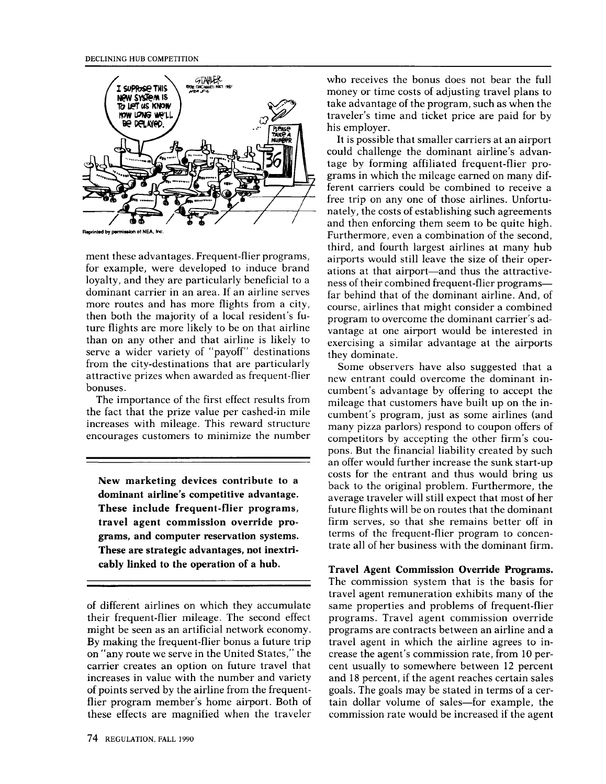

ment these advantages. Frequent-flier programs, for example, were developed to induce brand loyalty, and they are particularly beneficial to a dominant carrier in an area. If an airline serves more routes and has more flights from a city, then both the majority of a local resident's future flights are more likely to be on that airline than on any other and that airline is likely to serve a wider variety of "payoff" destinations from the city-destinations that are particularly attractive prizes when awarded as frequent-flier bonuses.

The importance of the first effect results from the fact that the prize value per cashed-in mile increases with mileage. This reward structure encourages customers to minimize the number

New marketing devices contribute to a dominant airline's competitive advantage. These include frequent-flier programs, travel agent commission override programs, and computer reservation systems. These are strategic advantages, not inextricably linked to the operation of a hub.

who receives the bonus does not bear the full money or time costs of adjusting travel plans to take advantage of the program, such as when the traveler's time and ticket price are paid for by his employer.

It is possible that smaller carriers at an airport could challenge the dominant airline's advantage by forming affiliated frequent-flier programs in which the mileage earned on many different carriers could be combined to receive a free trip on any one of those airlines. Unfortunately, the costs of establishing such agreements and then enforcing them seem to be quite high. Furthermore, even a combination of the second, third, and fourth largest airlines at many hub airports would still leave the size of their operations at that airport—and thus the attractiveness of their combined frequent-flier programs far behind that of the dominant airline. And, of course, airlines that might consider a combined program to overcome the dominant carrier's advantage at one airport would be interested in exercising a similar advantage at the airports they dominate.

Some observers have also suggested that a new entrant could overcome the dominant incumbent's advantage by offering to accept the mileage that customers have built up on the incumbent's program, just as some airlines (and many pizza parlors) respond to coupon offers of competitors by accepting the other firm's coupons. But the financial liability created by such an offer would further increase the sunk start-up costs for the entrant and thus would bring us back to the original problem. Furthermore, the average traveler will still expect that most of her future flights will be on routes that the dominant firm serves, so that she remains better off in terms of the frequent-flier program to concentrate all of her business with the dominant firm.

Travel Agent Commission Override Programs. The commission system that is the basis for travel agent remuneration exhibits many of the same properties and problems of frequent-flier programs. Travel agent commission override programs are contracts between an airline and a travel agent in which the airline agrees to increase the agent's commission rate, from 10 percent usually to somewhere between 12 percent and 18 percent, if the agent reaches certain sales goals. The goals may be stated in terms of a certain dollar volume of sales—for example, the commission rate would be increased if the agent

of different airlines on which they accumulate their frequent-flier mileage. The second effect might be seen as an artificial network economy. By making the frequent-flier bonus a future trip on "any route we serve in the United States," the carrier creates an option on future travel that increases in value with the number and variety of points served by the airline from the frequentflier program member's home airport. Both of these effects are magnified when the traveler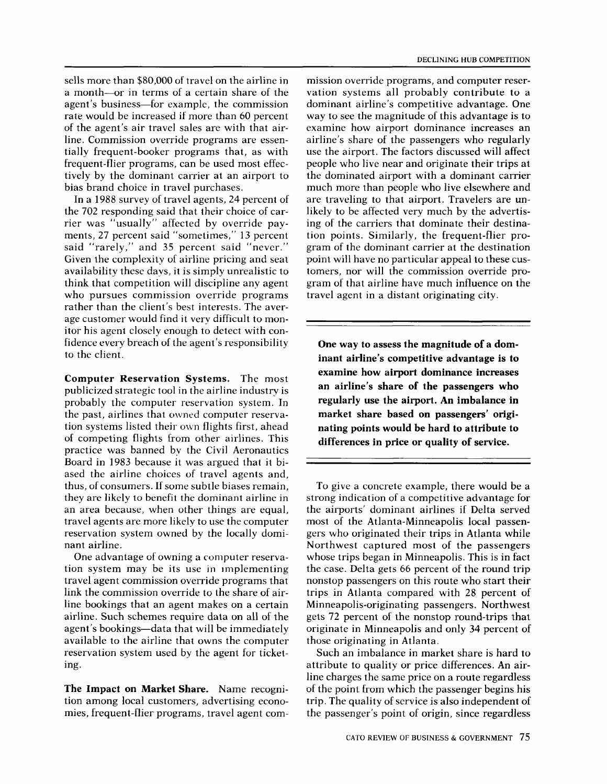sells more than \$80,000 of travel on the airline in a month—or in terms of a certain share of the agent's business—for example, the commission rate would be increased if more than 60 percent of the agent's air travel sales are with that airline. Commission override programs are essentially frequent-booker programs that, as with frequent-flier programs, can be used most effectively by the dominant carrier at an airport to bias brand choice in travel purchases.

In a 1988 survey of travel agents, 24 percent of the 702 responding said that their choice of carrier was "usually" affected by override payments, 27 percent said "sometimes," 13 percent said "rarely," and 35 percent said "never." Given the complexity of airline pricing and seat availability these days, it is simply unrealistic to think that competition will discipline any agent who pursues commission override programs rather than the client's best interests. The average customer would find it very difficult to monitor his agent closely enough to detect with confidence every breach of the agent's responsibility to the client.

Computer Reservation Systems. The most publicized strategic tool in the airline industry is probably the computer reservation system. In the past, airlines that owned computer reservation systems listed their own flights first, ahead of competing flights from other airlines. This practice was banned by the Civil Aeronautics Board in 1983 because it was argued that it biased the airline choices of travel agents and, thus, of consumers. If some subtle biases remain, they are likely to benefit the dominant airline in an area because, when other things are equal, travel agents are more likely to use the computer reservation system owned by the locally dominant airline.

One advantage of owning a computer reservation system may be its use in implementing travel agent commission override programs that link the commission override to the share of airline bookings that an agent makes on a certain airline. Such schemes require data on all of the agent's bookings—data that will be immediately available to the airline that owns the computer reservation system used by the agent for ticketing.

The Impact on Market Share. Name recognition among local customers, advertising economies, frequent-flier programs, travel agent com-

mission override programs, and computer reservation systems all probably contribute to a dominant airline's competitive advantage. One way to see the magnitude of this advantage is to examine how airport dominance increases an airline's share of the passengers who regularly use the airport. The factors discussed will affect people who live near and originate their trips at the dominated airport with a dominant carrier much more than people who live elsewhere and are traveling to that airport. Travelers are unlikely to be affected very much by the advertising of the carriers that dominate their destination points. Similarly, the frequent-flier program of the dominant carrier at the destination point will have no particular appeal to these customers, nor will the commission override program of that airline have much influence on the travel agent in a distant originating city.

One way to assess the magnitude of a dominant airline's competitive advantage is to examine how airport dominance increases an airline's share of the passengers who regularly use the airport. An imbalance in market share based on passengers' originating points would be hard to attribute to differences in price or quality of service.

To give a concrete example, there would be a strong indication of a competitive advantage for the airports' dominant airlines if Delta served most of the Atlanta-Minneapolis local passengers who originated their trips in Atlanta while Northwest captured most of the passengers whose trips began in Minneapolis. This is in fact the case. Delta gets 66 percent of the round trip nonstop passengers on this route who start their trips in Atlanta compared with 28 percent of Minneapolis-originating passengers. Northwest gets 72 percent of the nonstop round-trips that originate in Minneapolis and only 34 percent of those originating in Atlanta.

Such an imbalance in market share is hard to attribute to quality or price differences. An airline charges the same price on a route regardless of the point from which the passenger begins his trip. The quality of service is also independent of the passenger's point of origin, since regardless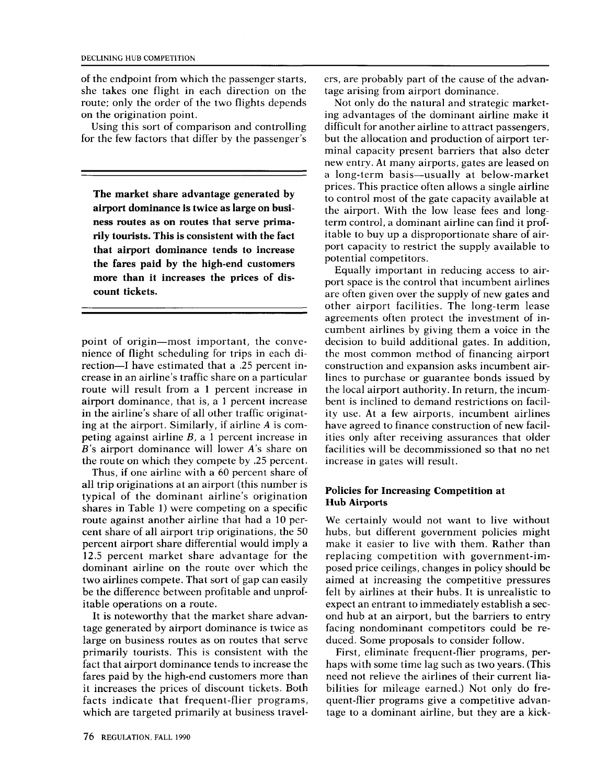of the endpoint from which the passenger starts, she takes one flight in each direction on the route; only the order of the two flights depends on the origination point.

Using this sort of comparison and controlling for the few factors that differ by the passenger's

The market share advantage generated by airport dominance is twice as large on business routes as on routes that serve primarily tourists. This is consistent with the fact that airport dominance tends to increase the fares paid by the high-end customers more than it increases the prices of discount tickets.

point of origin-most important, the convenience of flight scheduling for trips in each direction-I have estimated that a .25 percent increase in an airline's traffic share on a particular route will result from a 1 percent increase in airport dominance, that is, a 1 percent increase in the airline's share of all other traffic originating at the airport. Similarly, if airline A is competing against airline  $B$ , a 1 percent increase in B's airport dominance will lower A's share on the route on which they compete by .25 percent.

Thus, if one airline with a 60 percent share of all trip originations at an airport (this number is typical of the dominant airline's origination shares in Table 1) were competing on a specific route against another airline that had a 10 percent share of all airport trip originations, the 50 percent airport share differential would imply a 12.5 percent market share advantage for the dominant airline on the route over which the two airlines compete. That sort of gap can easily be the difference between profitable and unprofitable operations on a route.

It is noteworthy that the market share advantage generated by airport dominance is twice as large on business routes as on routes that serve primarily tourists. This is consistent with the fact that airport dominance tends to increase the fares paid by the high-end customers more than it increases the prices of discount tickets. Both facts indicate that frequent-flier programs, which are targeted primarily at business travelers, are probably part of the cause of the advantage arising from airport dominance.

Not only do the natural and strategic marketing advantages of the dominant airline make it difficult for another airline to attract passengers, but the allocation and production of airport terminal capacity present barriers that also deter new entry. At many airports, gates are leased on a long-term basis-usually at below-market prices. This practice often allows a single airline to control most of the gate capacity available at the airport. With the low lease fees and longterm control, a dominant airline can find it profitable to buy up a disproportionate share of airport capacity to restrict the supply available to potential competitors.

Equally important in reducing access to airport space is the control that incumbent airlines are often given over the supply of new gates and other airport facilities. The long-term lease agreements often protect the investment of incumbent airlines by giving them a voice in the decision to build additional gates. In addition, the most common method of financing airport construction and expansion asks incumbent airlines to purchase or guarantee bonds issued by the local airport authority. In return, the incumbent is inclined to demand restrictions on facility use. At a few airports, incumbent airlines have agreed to finance construction of new facilities only after receiving assurances that older facilities will be decommissioned so that no net increase in gates will result.

#### Policies for Increasing Competition at Hub Airports

We certainly would not want to live without hubs, but different government policies might make it easier to live with them. Rather than replacing competition with government-imposed price ceilings, changes in policy should be aimed at increasing the competitive pressures felt by airlines at their hubs. It is unrealistic to expect an entrant to immediately establish a second hub at an airport, but the barriers to entry facing nondominant competitors could be reduced. Some proposals to consider follow.

First, eliminate frequent-flier programs, perhaps with some time lag such as two years. (This need not relieve the airlines of their current liabilities for mileage earned.) Not only do frequent-flier programs give a competitive advantage to a dominant airline, but they are a kick-